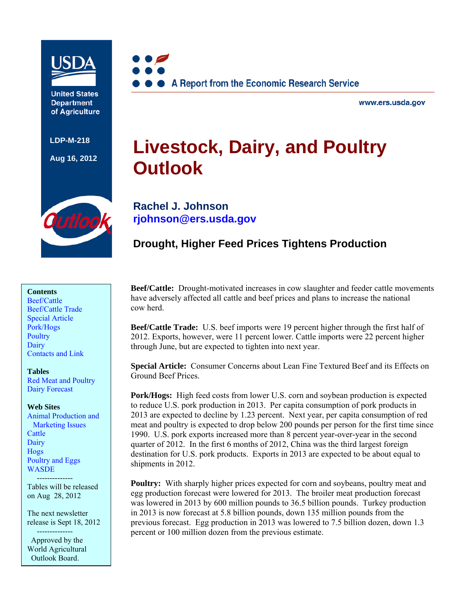

**United States Department** of Agriculture

**LDP-M-218** 

**Aug 16, 2012**



www.ers.usda.gov

# **Livestock, Dairy, and Poultry Outlook**



**Rachel J. Johnson [rjohnson@ers.usda.gov](mailto: rjohnson@ers.usda.gov)** 

# **Drought, Higher Feed Prices Tightens Production**

### **Contents**

[Beef/Cattle](#page-2-0)  [Beef/Cattle Trade](#page-5-0)  [Special Article](#page-6-0) [Pork/Hogs](#page-9-0)  **Poultry Dairy** [Contacts and Link](#page-19-0) 

#### **Tables**

[Red Meat and Poultry](#page-20-0)  [Dairy Forecast](#page-21-0) 

#### **Web Sites**

[Animal Production and](http://www.ers.usda.gov/topics/animal-products/animal-production-marketing-issues.aspx)  Marketing Issues **Cattle Dairy** [Hogs](http://www.ers.usda.gov/topics/animal-products/hogs-pork.aspx)  [Poultry and Eggs](http://www.ers.usda.gov/topics/animal-products/poultry-eggs.aspx)  **WASDE** 

 -------------- Tables will be released on Aug 28, 2012

The next newsletter release is Sept 18, 2012 --------------

 Approved by the World Agricultural Outlook Board.

**Beef/Cattle:** Drought-motivated increases in cow slaughter and feeder cattle movements have adversely affected all cattle and beef prices and plans to increase the national cow herd.

**Beef/Cattle Trade:** U.S. beef imports were 19 percent higher through the first half of 2012. Exports, however, were 11 percent lower. Cattle imports were 22 percent higher through June, but are expected to tighten into next year.

**Special Article:** Consumer Concerns about Lean Fine Textured Beef and its Effects on Ground Beef Prices.

**Pork/Hogs:** High feed costs from lower U.S. corn and soybean production is expected to reduce U.S. pork production in 2013. Per capita consumption of pork products in 2013 are expected to decline by 1.23 percent. Next year, per capita consumption of red meat and poultry is expected to drop below 200 pounds per person for the first time since 1990. U.S. pork exports increased more than 8 percent year-over-year in the second quarter of 2012. In the first 6 months of 2012, China was the third largest foreign destination for U.S. pork products. Exports in 2013 are expected to be about equal to shipments in 2012.

**Poultry:** With sharply higher prices expected for corn and soybeans, poultry meat and egg production forecast were lowered for 2013. The broiler meat production forecast was lowered in 2013 by 600 million pounds to 36.5 billion pounds. Turkey production in 2013 is now forecast at 5.8 billion pounds, down 135 million pounds from the previous forecast. Egg production in 2013 was lowered to 7.5 billion dozen, down 1.3 percent or 100 million dozen from the previous estimate.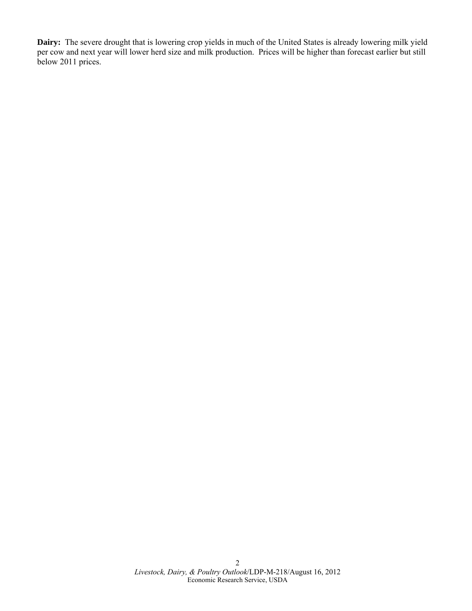**Dairy:** The severe drought that is lowering crop yields in much of the United States is already lowering milk yield per cow and next year will lower herd size and milk production. Prices will be higher than forecast earlier but still below 2011 prices.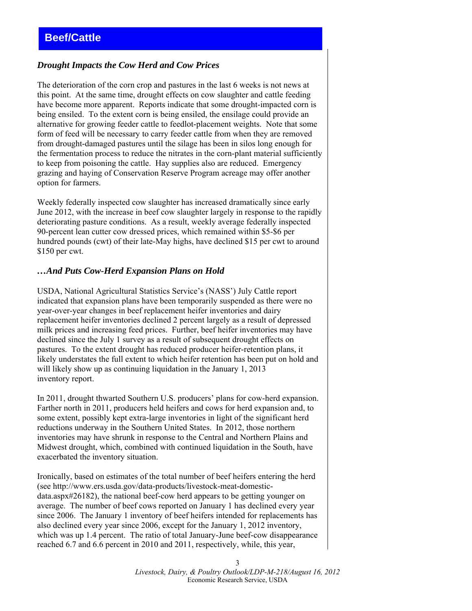# <span id="page-2-0"></span>*Drought Impacts the Cow Herd and Cow Prices*

The deterioration of the corn crop and pastures in the last 6 weeks is not news at this point. At the same time, drought effects on cow slaughter and cattle feeding have become more apparent. Reports indicate that some drought-impacted corn is being ensiled. To the extent corn is being ensiled, the ensilage could provide an alternative for growing feeder cattle to feedlot-placement weights. Note that some form of feed will be necessary to carry feeder cattle from when they are removed from drought-damaged pastures until the silage has been in silos long enough for the fermentation process to reduce the nitrates in the corn-plant material sufficiently to keep from poisoning the cattle. Hay supplies also are reduced. Emergency grazing and haying of Conservation Reserve Program acreage may offer another option for farmers.

Weekly federally inspected cow slaughter has increased dramatically since early June 2012, with the increase in beef cow slaughter largely in response to the rapidly deteriorating pasture conditions. As a result, weekly average federally inspected 90-percent lean cutter cow dressed prices, which remained within \$5-\$6 per hundred pounds (cwt) of their late-May highs, have declined \$15 per cwt to around \$150 per cwt.

### *…And Puts Cow-Herd Expansion Plans on Hold*

USDA, National Agricultural Statistics Service's (NASS') July Cattle report indicated that expansion plans have been temporarily suspended as there were no year-over-year changes in beef replacement heifer inventories and dairy replacement heifer inventories declined 2 percent largely as a result of depressed milk prices and increasing feed prices. Further, beef heifer inventories may have declined since the July 1 survey as a result of subsequent drought effects on pastures. To the extent drought has reduced producer heifer-retention plans, it likely understates the full extent to which heifer retention has been put on hold and will likely show up as continuing liquidation in the January 1, 2013 inventory report.

In 2011, drought thwarted Southern U.S. producers' plans for cow-herd expansion. Farther north in 2011, producers held heifers and cows for herd expansion and, to some extent, possibly kept extra-large inventories in light of the significant herd reductions underway in the Southern United States. In 2012, those northern inventories may have shrunk in response to the Central and Northern Plains and Midwest drought, which, combined with continued liquidation in the South, have exacerbated the inventory situation.

Ironically, based on estimates of the total number of beef heifers entering the herd (see http://www.ers.usda.gov/data-products/livestock-meat-domesticdata.aspx#26182), the national beef-cow herd appears to be getting younger on average. The number of beef cows reported on January 1 has declined every year since 2006. The January 1 inventory of beef heifers intended for replacements has also declined every year since 2006, except for the January 1, 2012 inventory, which was up 1.4 percent. The ratio of total January-June beef-cow disappearance reached 6.7 and 6.6 percent in 2010 and 2011, respectively, while, this year,

> *Livestock, Dairy, & Poultry Outlook/LDP-M-218/August 16, 2012*  Economic Research Service, USDA

3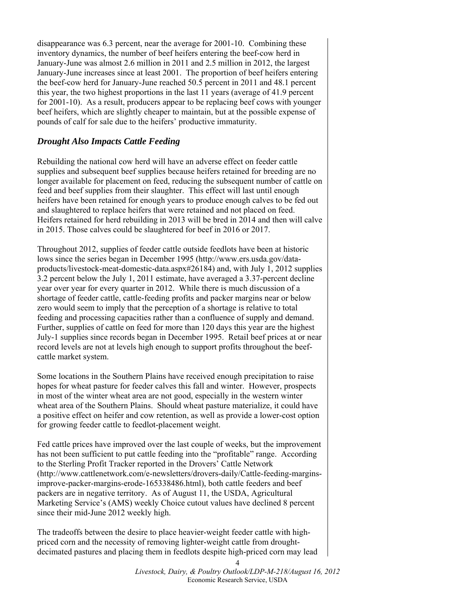disappearance was 6.3 percent, near the average for 2001-10. Combining these inventory dynamics, the number of beef heifers entering the beef-cow herd in January-June was almost 2.6 million in 2011 and 2.5 million in 2012, the largest January-June increases since at least 2001. The proportion of beef heifers entering the beef-cow herd for January-June reached 50.5 percent in 2011 and 48.1 percent this year, the two highest proportions in the last 11 years (average of 41.9 percent for 2001-10). As a result, producers appear to be replacing beef cows with younger beef heifers, which are slightly cheaper to maintain, but at the possible expense of pounds of calf for sale due to the heifers' productive immaturity.

# *Drought Also Impacts Cattle Feeding*

Rebuilding the national cow herd will have an adverse effect on feeder cattle supplies and subsequent beef supplies because heifers retained for breeding are no longer available for placement on feed, reducing the subsequent number of cattle on feed and beef supplies from their slaughter. This effect will last until enough heifers have been retained for enough years to produce enough calves to be fed out and slaughtered to replace heifers that were retained and not placed on feed. Heifers retained for herd rebuilding in 2013 will be bred in 2014 and then will calve in 2015. Those calves could be slaughtered for beef in 2016 or 2017.

Throughout 2012, supplies of feeder cattle outside feedlots have been at historic lows since the series began in December 1995 (http://www.ers.usda.gov/dataproducts/livestock-meat-domestic-data.aspx#26184) and, with July 1, 2012 supplies 3.2 percent below the July 1, 2011 estimate, have averaged a 3.37-percent decline year over year for every quarter in 2012. While there is much discussion of a shortage of feeder cattle, cattle-feeding profits and packer margins near or below zero would seem to imply that the perception of a shortage is relative to total feeding and processing capacities rather than a confluence of supply and demand. Further, supplies of cattle on feed for more than 120 days this year are the highest July-1 supplies since records began in December 1995. Retail beef prices at or near record levels are not at levels high enough to support profits throughout the beefcattle market system.

Some locations in the Southern Plains have received enough precipitation to raise hopes for wheat pasture for feeder calves this fall and winter. However, prospects in most of the winter wheat area are not good, especially in the western winter wheat area of the Southern Plains. Should wheat pasture materialize, it could have a positive effect on heifer and cow retention, as well as provide a lower-cost option for growing feeder cattle to feedlot-placement weight.

Fed cattle prices have improved over the last couple of weeks, but the improvement has not been sufficient to put cattle feeding into the "profitable" range. According to the Sterling Profit Tracker reported in the Drovers' Cattle Network (http://www.cattlenetwork.com/e-newsletters/drovers-daily/Cattle-feeding-marginsimprove-packer-margins-erode-165338486.html), both cattle feeders and beef packers are in negative territory. As of August 11, the USDA, Agricultural Marketing Service's (AMS) weekly Choice cutout values have declined 8 percent since their mid-June 2012 weekly high.

The tradeoffs between the desire to place heavier-weight feeder cattle with highpriced corn and the necessity of removing lighter-weight cattle from droughtdecimated pastures and placing them in feedlots despite high-priced corn may lead

> *Livestock, Dairy, & Poultry Outlook/LDP-M-218/August 16, 2012*  Economic Research Service, USDA

4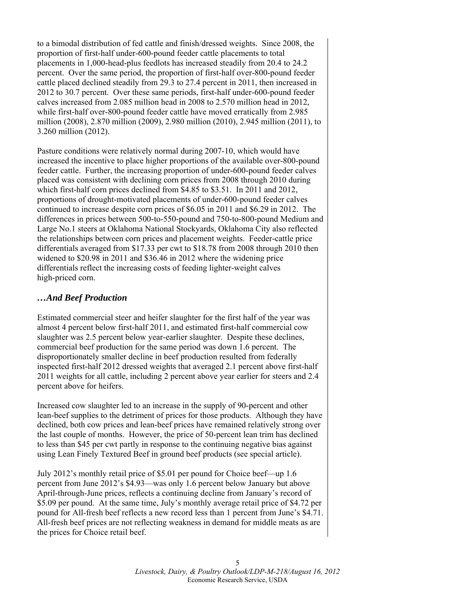to a bimodal distribution of fed cattle and finish/dressed weights. Since 2008, the proportion of first-half under-600-pound feeder cattle placements to total placements in 1,000-head-plus feedlots has increased steadily from 20.4 to 24.2 percent. Over the same period, the proportion of first-half over-800-pound feeder cattle placed declined steadily from 29.3 to 27.4 percent in 2011, then increased in 2012 to 30.7 percent. Over these same periods, first-half under-600-pound feeder calves increased from 2.085 million head in 2008 to 2.570 million head in 2012, while first-half over-800-pound feeder cattle have moved erratically from 2.985 million (2008), 2.870 million (2009), 2.980 million (2010), 2.945 million (2011), to 3.260 million (2012).

Pasture conditions were relatively normal during 2007-10, which would have increased the incentive to place higher proportions of the available over-800-pound feeder cattle. Further, the increasing proportion of under-600-pound feeder calves placed was consistent with declining corn prices from 2008 through 2010 during which first-half corn prices declined from \$4.85 to \$3.51. In 2011 and 2012, proportions of drought-motivated placements of under-600-pound feeder calves continued to increase despite corn prices of \$6.05 in 2011 and \$6.29 in 2012. The differences in prices between 500-to-550-pound and 750-to-800-pound Medium and Large No.1 steers at Oklahoma National Stockyards, Oklahoma City also reflected the relationships between corn prices and placement weights. Feeder-cattle price differentials averaged from \$17.33 per cwt to \$18.78 from 2008 through 2010 then widened to \$20.98 in 2011 and \$36.46 in 2012 where the widening price differentials reflect the increasing costs of feeding lighter-weight calves high-priced corn.

# *…And Beef Production*

Estimated commercial steer and heifer slaughter for the first half of the year was almost 4 percent below first-half 2011, and estimated first-half commercial cow slaughter was 2.5 percent below year-earlier slaughter. Despite these declines, commercial beef production for the same period was down 1.6 percent. The disproportionately smaller decline in beef production resulted from federally inspected first-half 2012 dressed weights that averaged 2.1 percent above first-half 2011 weights for all cattle, including 2 percent above year earlier for steers and 2.4 percent above for heifers.

Increased cow slaughter led to an increase in the supply of 90-percent and other lean-beef supplies to the detriment of prices for those products. Although they have declined, both cow prices and lean-beef prices have remained relatively strong over the last couple of months. However, the price of 50-percent lean trim has declined to less than \$45 per cwt partly in response to the continuing negative bias against using Lean Finely Textured Beef in ground beef products (see special article).

July 2012's monthly retail price of \$5.01 per pound for Choice beef—up 1.6 percent from June 2012's \$4.93—was only 1.6 percent below January but above April-through-June prices, reflects a continuing decline from January's record of \$5.09 per pound. At the same time, July's monthly average retail price of \$4.72 per pound for All-fresh beef reflects a new record less than 1 percent from June's \$4.71. All-fresh beef prices are not reflecting weakness in demand for middle meats as are the prices for Choice retail beef.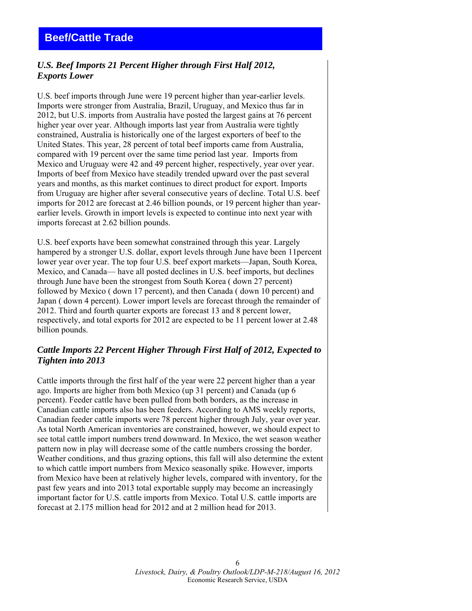# <span id="page-5-0"></span>*U.S. Beef Imports 21 Percent Higher through First Half 2012, Exports Lower*

U.S. beef imports through June were 19 percent higher than year-earlier levels. Imports were stronger from Australia, Brazil, Uruguay, and Mexico thus far in 2012, but U.S. imports from Australia have posted the largest gains at 76 percent higher year over year. Although imports last year from Australia were tightly constrained, Australia is historically one of the largest exporters of beef to the United States. This year, 28 percent of total beef imports came from Australia, compared with 19 percent over the same time period last year. Imports from Mexico and Uruguay were 42 and 49 percent higher, respectively, year over year. Imports of beef from Mexico have steadily trended upward over the past several years and months, as this market continues to direct product for export. Imports from Uruguay are higher after several consecutive years of decline. Total U.S. beef imports for 2012 are forecast at 2.46 billion pounds, or 19 percent higher than yearearlier levels. Growth in import levels is expected to continue into next year with imports forecast at 2.62 billion pounds.

U.S. beef exports have been somewhat constrained through this year. Largely hampered by a stronger U.S. dollar, export levels through June have been 11percent lower year over year. The top four U.S. beef export markets—Japan, South Korea, Mexico, and Canada— have all posted declines in U.S. beef imports, but declines through June have been the strongest from South Korea ( down 27 percent) followed by Mexico ( down 17 percent), and then Canada ( down 10 percent) and Japan ( down 4 percent). Lower import levels are forecast through the remainder of 2012. Third and fourth quarter exports are forecast 13 and 8 percent lower, respectively, and total exports for 2012 are expected to be 11 percent lower at 2.48 billion pounds.

# *Cattle Imports 22 Percent Higher Through First Half of 2012, Expected to Tighten into 2013*

Cattle imports through the first half of the year were 22 percent higher than a year ago. Imports are higher from both Mexico (up 31 percent) and Canada (up 6 percent). Feeder cattle have been pulled from both borders, as the increase in Canadian cattle imports also has been feeders. According to AMS weekly reports, Canadian feeder cattle imports were 78 percent higher through July, year over year. As total North American inventories are constrained, however, we should expect to see total cattle import numbers trend downward. In Mexico, the wet season weather pattern now in play will decrease some of the cattle numbers crossing the border. Weather conditions, and thus grazing options, this fall will also determine the extent to which cattle import numbers from Mexico seasonally spike. However, imports from Mexico have been at relatively higher levels, compared with inventory, for the past few years and into 2013 total exportable supply may become an increasingly important factor for U.S. cattle imports from Mexico. Total U.S. cattle imports are forecast at 2.175 million head for 2012 and at 2 million head for 2013.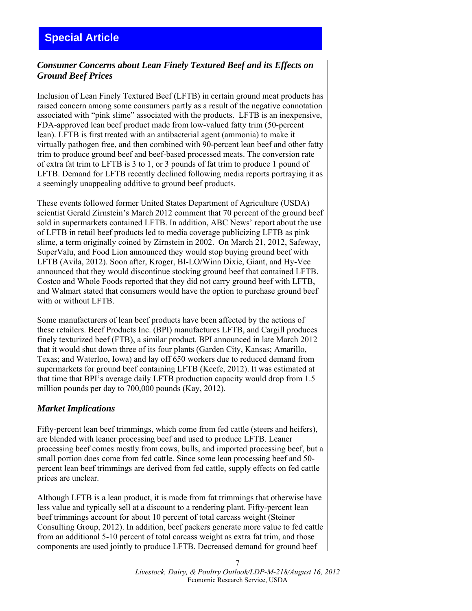# <span id="page-6-0"></span>*Consumer Concerns about Lean Finely Textured Beef and its Effects on Ground Beef Prices*

Inclusion of Lean Finely Textured Beef (LFTB) in certain ground meat products has raised concern among some consumers partly as a result of the negative connotation associated with "pink slime" associated with the products. LFTB is an inexpensive, FDA-approved lean beef product made from low-valued fatty trim (50-percent lean). LFTB is first treated with an antibacterial agent (ammonia) to make it virtually pathogen free, and then combined with 90-percent lean beef and other fatty trim to produce ground beef and beef-based processed meats. The conversion rate of extra fat trim to LFTB is 3 to 1, or 3 pounds of fat trim to produce 1 pound of LFTB. Demand for LFTB recently declined following media reports portraying it as a seemingly unappealing additive to ground beef products.

These events followed former United States Department of Agriculture (USDA) scientist Gerald Zirnstein's March 2012 comment that 70 percent of the ground beef sold in supermarkets contained LFTB. In addition, ABC News' report about the use of LFTB in retail beef products led to media coverage publicizing LFTB as pink slime, a term originally coined by Zirnstein in 2002. On March 21, 2012, Safeway, SuperValu, and Food Lion announced they would stop buying ground beef with LFTB (Avila, 2012). Soon after, Kroger, BI-LO/Winn Dixie, Giant, and Hy-Vee announced that they would discontinue stocking ground beef that contained LFTB. Costco and Whole Foods reported that they did not carry ground beef with LFTB, and Walmart stated that consumers would have the option to purchase ground beef with or without LFTB.

Some manufacturers of lean beef products have been affected by the actions of these retailers. Beef Products Inc. (BPI) manufactures LFTB, and Cargill produces finely texturized beef (FTB), a similar product. BPI announced in late March 2012 that it would shut down three of its four plants (Garden City, Kansas; Amarillo, Texas; and Waterloo, Iowa) and lay off 650 workers due to reduced demand from supermarkets for ground beef containing LFTB (Keefe, 2012). It was estimated at that time that BPI's average daily LFTB production capacity would drop from 1.5 million pounds per day to 700,000 pounds (Kay, 2012).

# *Market Implications*

Fifty-percent lean beef trimmings, which come from fed cattle (steers and heifers), are blended with leaner processing beef and used to produce LFTB. Leaner processing beef comes mostly from cows, bulls, and imported processing beef, but a small portion does come from fed cattle. Since some lean processing beef and 50 percent lean beef trimmings are derived from fed cattle, supply effects on fed cattle prices are unclear.

Although LFTB is a lean product, it is made from fat trimmings that otherwise have less value and typically sell at a discount to a rendering plant. Fifty-percent lean beef trimmings account for about 10 percent of total carcass weight (Steiner Consulting Group, 2012). In addition, beef packers generate more value to fed cattle from an additional 5-10 percent of total carcass weight as extra fat trim, and those components are used jointly to produce LFTB. Decreased demand for ground beef

> 7 *Livestock, Dairy, & Poultry Outlook/LDP-M-218/August 16, 2012*  Economic Research Service, USDA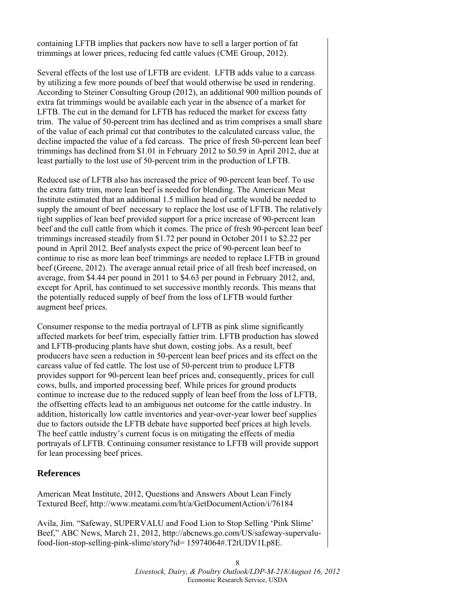containing LFTB implies that packers now have to sell a larger portion of fat trimmings at lower prices, reducing fed cattle values (CME Group, 2012).

Several effects of the lost use of LFTB are evident. LFTB adds value to a carcass by utilizing a few more pounds of beef that would otherwise be used in rendering. According to Steiner Consulting Group (2012), an additional 900 million pounds of extra fat trimmings would be available each year in the absence of a market for LFTB. The cut in the demand for LFTB has reduced the market for excess fatty trim. The value of 50-percent trim has declined and as trim comprises a small share of the value of each primal cut that contributes to the calculated carcass value, the decline impacted the value of a fed carcass. The price of fresh 50-percent lean beef trimmings has declined from \$1.01 in February 2012 to \$0.59 in April 2012, due at least partially to the lost use of 50-percent trim in the production of LFTB.

Reduced use of LFTB also has increased the price of 90-percent lean beef. To use the extra fatty trim, more lean beef is needed for blending. The American Meat Institute estimated that an additional 1.5 million head of cattle would be needed to supply the amount of beef necessary to replace the lost use of LFTB. The relatively tight supplies of lean beef provided support for a price increase of 90-percent lean beef and the cull cattle from which it comes. The price of fresh 90-percent lean beef trimmings increased steadily from \$1.72 per pound in October 2011 to \$2.22 per pound in April 2012. Beef analysts expect the price of 90-percent lean beef to continue to rise as more lean beef trimmings are needed to replace LFTB in ground beef (Greene, 2012). The average annual retail price of all fresh beef increased, on average, from \$4.44 per pound in 2011 to \$4.63 per pound in February 2012, and, except for April, has continued to set successive monthly records. This means that the potentially reduced supply of beef from the loss of LFTB would further augment beef prices.

Consumer response to the media portrayal of LFTB as pink slime significantly affected markets for beef trim, especially fattier trim. LFTB production has slowed and LFTB-producing plants have shut down, costing jobs. As a result, beef producers have seen a reduction in 50-percent lean beef prices and its effect on the carcass value of fed cattle. The lost use of 50-percent trim to produce LFTB provides support for 90-percent lean beef prices and, consequently, prices for cull cows, bulls, and imported processing beef. While prices for ground products continue to increase due to the reduced supply of lean beef from the loss of LFTB, the offsetting effects lead to an ambiguous net outcome for the cattle industry. In addition, historically low cattle inventories and year-over-year lower beef supplies due to factors outside the LFTB debate have supported beef prices at high levels. The beef cattle industry's current focus is on mitigating the effects of media portrayals of LFTB. Continuing consumer resistance to LFTB will provide support for lean processing beef prices.

### **References**

American Meat Institute, 2012, Questions and Answers About Lean Finely Textured Beef, http://www.meatami.com/ht/a/GetDocumentAction/i/76184

Avila, Jim. "Safeway, SUPERVALU and Food Lion to Stop Selling 'Pink Slime' Beef," ABC News, March 21, 2012, http://abcnews.go.com/US/safeway-supervalufood-lion-stop-selling-pink-slime/story?id= 15974064#.T2tUDV1Lp8E.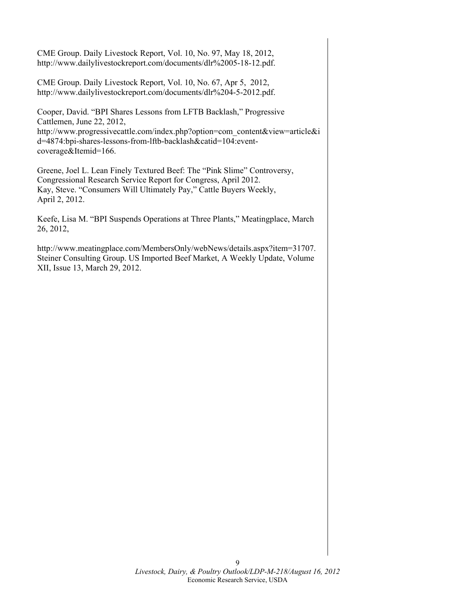CME Group. Daily Livestock Report, Vol. 10, No. 97, May 18, 2012, http://www.dailylivestockreport.com/documents/dlr%2005-18-12.pdf.

CME Group. Daily Livestock Report, Vol. 10, No. 67, Apr 5, 2012, http://www.dailylivestockreport.com/documents/dlr%204-5-2012.pdf.

Cooper, David. "BPI Shares Lessons from LFTB Backlash," Progressive Cattlemen, June 22, 2012, http://www.progressivecattle.com/index.php?option=com\_content&view=article&i d=4874:bpi-shares-lessons-from-lftb-backlash&catid=104:eventcoverage&Itemid=166.

Greene, Joel L. Lean Finely Textured Beef: The "Pink Slime" Controversy, Congressional Research Service Report for Congress, April 2012. Kay, Steve. "Consumers Will Ultimately Pay," Cattle Buyers Weekly, April 2, 2012.

Keefe, Lisa M. "BPI Suspends Operations at Three Plants," Meatingplace, March 26, 2012,

http://www.meatingplace.com/MembersOnly/webNews/details.aspx?item=31707. Steiner Consulting Group. US Imported Beef Market, A Weekly Update, Volume XII, Issue 13, March 29, 2012.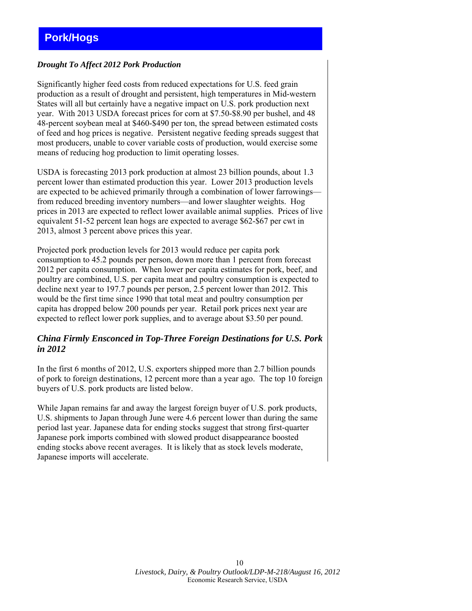### <span id="page-9-0"></span>*Drought To Affect 2012 Pork Production*

Significantly higher feed costs from reduced expectations for U.S. feed grain production as a result of drought and persistent, high temperatures in Mid-western States will all but certainly have a negative impact on U.S. pork production next year. With 2013 USDA forecast prices for corn at \$7.50-\$8.90 per bushel, and 48 48-percent soybean meal at \$460-\$490 per ton, the spread between estimated costs of feed and hog prices is negative. Persistent negative feeding spreads suggest that most producers, unable to cover variable costs of production, would exercise some means of reducing hog production to limit operating losses.

USDA is forecasting 2013 pork production at almost 23 billion pounds, about 1.3 percent lower than estimated production this year. Lower 2013 production levels are expected to be achieved primarily through a combination of lower farrowings from reduced breeding inventory numbers—and lower slaughter weights. Hog prices in 2013 are expected to reflect lower available animal supplies. Prices of live equivalent 51-52 percent lean hogs are expected to average \$62-\$67 per cwt in 2013, almost 3 percent above prices this year.

Projected pork production levels for 2013 would reduce per capita pork consumption to 45.2 pounds per person, down more than 1 percent from forecast 2012 per capita consumption. When lower per capita estimates for pork, beef, and poultry are combined, U.S. per capita meat and poultry consumption is expected to decline next year to 197.7 pounds per person, 2.5 percent lower than 2012. This would be the first time since 1990 that total meat and poultry consumption per capita has dropped below 200 pounds per year. Retail pork prices next year are expected to reflect lower pork supplies, and to average about \$3.50 per pound.

# *China Firmly Ensconced in Top-Three Foreign Destinations for U.S. Pork in 2012*

In the first 6 months of 2012, U.S. exporters shipped more than 2.7 billion pounds of pork to foreign destinations, 12 percent more than a year ago. The top 10 foreign buyers of U.S. pork products are listed below.

While Japan remains far and away the largest foreign buyer of U.S. pork products, U.S. shipments to Japan through June were 4.6 percent lower than during the same period last year. Japanese data for ending stocks suggest that strong first-quarter Japanese pork imports combined with slowed product disappearance boosted ending stocks above recent averages. It is likely that as stock levels moderate, Japanese imports will accelerate.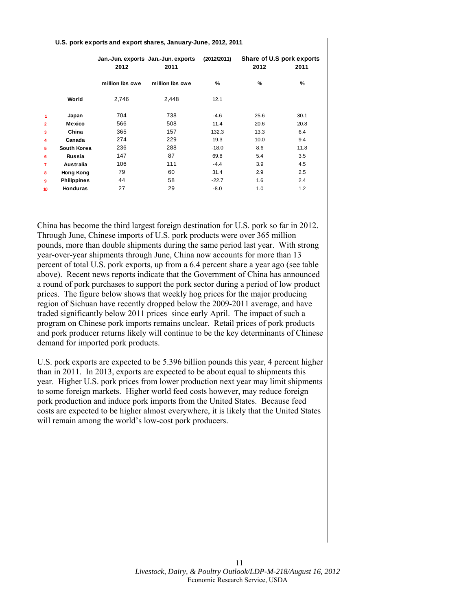|                |                    | 2012            | Jan.-Jun. exports Jan.-Jun. exports<br>2011 | (2012/2011) | 2012 | Share of U.S pork exports<br>2011 |
|----------------|--------------------|-----------------|---------------------------------------------|-------------|------|-----------------------------------|
|                |                    | million lbs cwe | million lbs cwe                             | %           | %    | %                                 |
|                | World              | 2,746           | 2,448                                       | 12.1        |      |                                   |
| 1              | Japan              | 704             | 738                                         | $-4.6$      | 25.6 | 30.1                              |
| $\overline{2}$ | Mexico             | 566             | 508                                         | 11.4        | 20.6 | 20.8                              |
| 3              | China              | 365             | 157                                         | 132.3       | 13.3 | 6.4                               |
| 4              | Canada             | 274             | 229                                         | 19.3        | 10.0 | 9.4                               |
| 5              | South Korea        | 236             | 288                                         | $-18.0$     | 8.6  | 11.8                              |
| 6              | Russia             | 147             | 87                                          | 69.8        | 5.4  | 3.5                               |
| 7              | Australia          | 106             | 111                                         | $-4.4$      | 3.9  | 4.5                               |
| 8              | Hong Kong          | 79              | 60                                          | 31.4        | 2.9  | 2.5                               |
| 9              | <b>Philippines</b> | 44              | 58                                          | $-22.7$     | 1.6  | 2.4                               |
| 10             | <b>Honduras</b>    | 27              | 29                                          | $-8.0$      | 1.0  | 1.2                               |

#### **U.S. pork exports and export shares, January-June, 2012, 2011**

China has become the third largest foreign destination for U.S. pork so far in 2012. Through June, Chinese imports of U.S. pork products were over 365 million pounds, more than double shipments during the same period last year. With strong year-over-year shipments through June, China now accounts for more than 13 percent of total U.S. pork exports, up from a 6.4 percent share a year ago (see table above). Recent news reports indicate that the Government of China has announced a round of pork purchases to support the pork sector during a period of low product prices. The figure below shows that weekly hog prices for the major producing region of Sichuan have recently dropped below the 2009-2011 average, and have traded significantly below 2011 prices since early April. The impact of such a program on Chinese pork imports remains unclear. Retail prices of pork products and pork producer returns likely will continue to be the key determinants of Chinese demand for imported pork products.

U.S. pork exports are expected to be 5.396 billion pounds this year, 4 percent higher than in 2011. In 2013, exports are expected to be about equal to shipments this year. Higher U.S. pork prices from lower production next year may limit shipments to some foreign markets. Higher world feed costs however, may reduce foreign pork production and induce pork imports from the United States. Because feed costs are expected to be higher almost everywhere, it is likely that the United States will remain among the world's low-cost pork producers.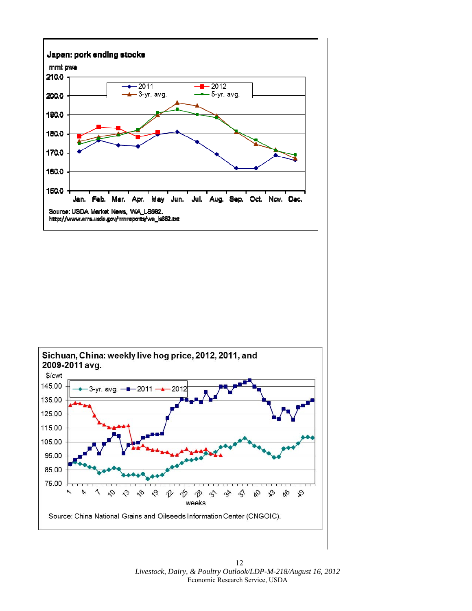

12 *Livestock, Dairy, & Poultry Outlook/LDP-M-218/August 16, 2012*  Economic Research Service, USDA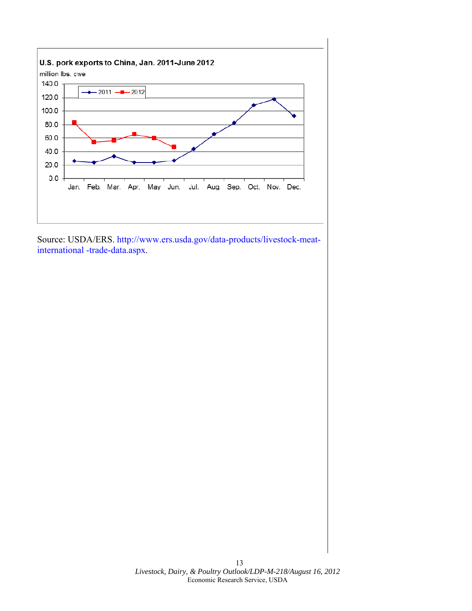

Source: USDA/ERS. http://www.ers.usda.gov/data-products/livestock-meatinternational -trade-data.aspx.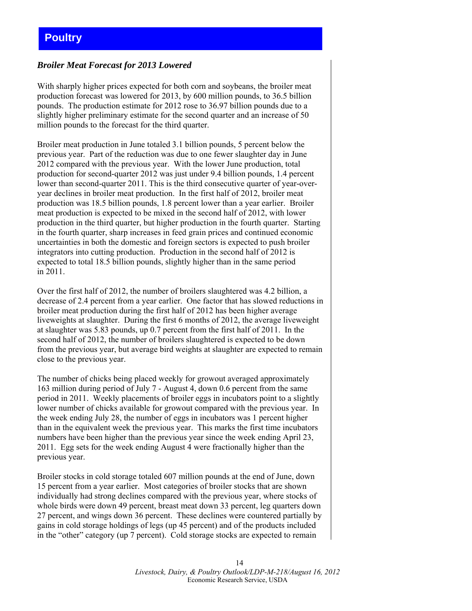# <span id="page-13-0"></span>**Poultry**

### *Broiler Meat Forecast for 2013 Lowered*

With sharply higher prices expected for both corn and soybeans, the broiler meat production forecast was lowered for 2013, by 600 million pounds, to 36.5 billion pounds. The production estimate for 2012 rose to 36.97 billion pounds due to a slightly higher preliminary estimate for the second quarter and an increase of 50 million pounds to the forecast for the third quarter.

Broiler meat production in June totaled 3.1 billion pounds, 5 percent below the previous year. Part of the reduction was due to one fewer slaughter day in June 2012 compared with the previous year. With the lower June production, total production for second-quarter 2012 was just under 9.4 billion pounds, 1.4 percent lower than second-quarter 2011. This is the third consecutive quarter of year-overyear declines in broiler meat production. In the first half of 2012, broiler meat production was 18.5 billion pounds, 1.8 percent lower than a year earlier. Broiler meat production is expected to be mixed in the second half of 2012, with lower production in the third quarter, but higher production in the fourth quarter. Starting in the fourth quarter, sharp increases in feed grain prices and continued economic uncertainties in both the domestic and foreign sectors is expected to push broiler integrators into cutting production. Production in the second half of 2012 is expected to total 18.5 billion pounds, slightly higher than in the same period in 2011.

Over the first half of 2012, the number of broilers slaughtered was 4.2 billion, a decrease of 2.4 percent from a year earlier. One factor that has slowed reductions in broiler meat production during the first half of 2012 has been higher average liveweights at slaughter. During the first 6 months of 2012, the average liveweight at slaughter was 5.83 pounds, up 0.7 percent from the first half of 2011. In the second half of 2012, the number of broilers slaughtered is expected to be down from the previous year, but average bird weights at slaughter are expected to remain close to the previous year.

The number of chicks being placed weekly for growout averaged approximately 163 million during period of July 7 - August 4, down 0.6 percent from the same period in 2011. Weekly placements of broiler eggs in incubators point to a slightly lower number of chicks available for growout compared with the previous year. In the week ending July 28, the number of eggs in incubators was 1 percent higher than in the equivalent week the previous year. This marks the first time incubators numbers have been higher than the previous year since the week ending April 23, 2011. Egg sets for the week ending August 4 were fractionally higher than the previous year.

Broiler stocks in cold storage totaled 607 million pounds at the end of June, down 15 percent from a year earlier. Most categories of broiler stocks that are shown individually had strong declines compared with the previous year, where stocks of whole birds were down 49 percent, breast meat down 33 percent, leg quarters down 27 percent, and wings down 36 percent. These declines were countered partially by gains in cold storage holdings of legs (up 45 percent) and of the products included in the "other" category (up 7 percent). Cold storage stocks are expected to remain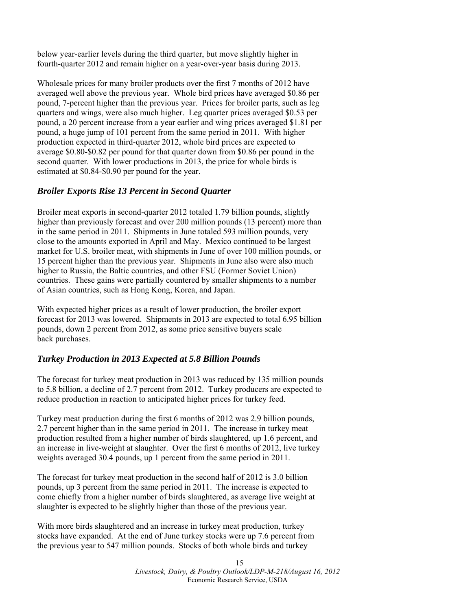below year-earlier levels during the third quarter, but move slightly higher in fourth-quarter 2012 and remain higher on a year-over-year basis during 2013.

Wholesale prices for many broiler products over the first 7 months of 2012 have averaged well above the previous year. Whole bird prices have averaged \$0.86 per pound, 7-percent higher than the previous year. Prices for broiler parts, such as leg quarters and wings, were also much higher. Leg quarter prices averaged \$0.53 per pound, a 20 percent increase from a year earlier and wing prices averaged \$1.81 per pound, a huge jump of 101 percent from the same period in 2011. With higher production expected in third-quarter 2012, whole bird prices are expected to average \$0.80-\$0.82 per pound for that quarter down from \$0.86 per pound in the second quarter. With lower productions in 2013, the price for whole birds is estimated at \$0.84-\$0.90 per pound for the year.

# *Broiler Exports Rise 13 Percent in Second Quarter*

Broiler meat exports in second-quarter 2012 totaled 1.79 billion pounds, slightly higher than previously forecast and over 200 million pounds (13 percent) more than in the same period in 2011. Shipments in June totaled 593 million pounds, very close to the amounts exported in April and May. Mexico continued to be largest market for U.S. broiler meat, with shipments in June of over 100 million pounds, or 15 percent higher than the previous year. Shipments in June also were also much higher to Russia, the Baltic countries, and other FSU (Former Soviet Union) countries. These gains were partially countered by smaller shipments to a number of Asian countries, such as Hong Kong, Korea, and Japan.

With expected higher prices as a result of lower production, the broiler export forecast for 2013 was lowered. Shipments in 2013 are expected to total 6.95 billion pounds, down 2 percent from 2012, as some price sensitive buyers scale back purchases.

# *Turkey Production in 2013 Expected at 5.8 Billion Pounds*

The forecast for turkey meat production in 2013 was reduced by 135 million pounds to 5.8 billion, a decline of 2.7 percent from 2012. Turkey producers are expected to reduce production in reaction to anticipated higher prices for turkey feed.

Turkey meat production during the first 6 months of 2012 was 2.9 billion pounds, 2.7 percent higher than in the same period in 2011. The increase in turkey meat production resulted from a higher number of birds slaughtered, up 1.6 percent, and an increase in live-weight at slaughter. Over the first 6 months of 2012, live turkey weights averaged 30.4 pounds, up 1 percent from the same period in 2011.

The forecast for turkey meat production in the second half of 2012 is 3.0 billion pounds, up 3 percent from the same period in 2011. The increase is expected to come chiefly from a higher number of birds slaughtered, as average live weight at slaughter is expected to be slightly higher than those of the previous year.

With more birds slaughtered and an increase in turkey meat production, turkey stocks have expanded. At the end of June turkey stocks were up 7.6 percent from the previous year to 547 million pounds. Stocks of both whole birds and turkey

> 15 *Livestock, Dairy, & Poultry Outlook/LDP-M-218/August 16, 2012*  Economic Research Service, USDA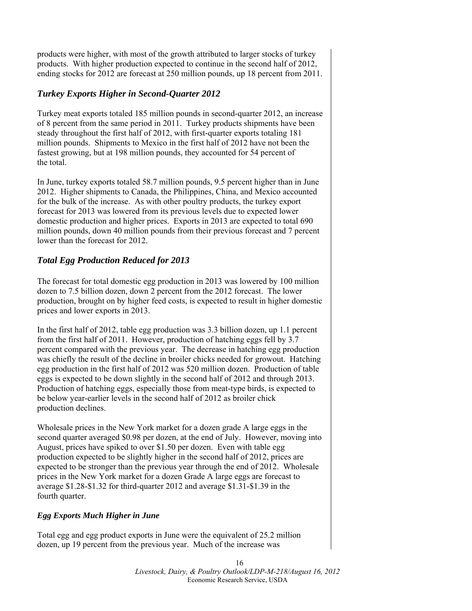products were higher, with most of the growth attributed to larger stocks of turkey products. With higher production expected to continue in the second half of 2012, ending stocks for 2012 are forecast at 250 million pounds, up 18 percent from 2011.

# *Turkey Exports Higher in Second-Quarter 2012*

Turkey meat exports totaled 185 million pounds in second-quarter 2012, an increase of 8 percent from the same period in 2011. Turkey products shipments have been steady throughout the first half of 2012, with first-quarter exports totaling 181 million pounds. Shipments to Mexico in the first half of 2012 have not been the fastest growing, but at 198 million pounds, they accounted for 54 percent of the total.

In June, turkey exports totaled 58.7 million pounds, 9.5 percent higher than in June 2012. Higher shipments to Canada, the Philippines, China, and Mexico accounted for the bulk of the increase. As with other poultry products, the turkey export forecast for 2013 was lowered from its previous levels due to expected lower domestic production and higher prices. Exports in 2013 are expected to total 690 million pounds, down 40 million pounds from their previous forecast and 7 percent lower than the forecast for 2012.

# *Total Egg Production Reduced for 2013*

The forecast for total domestic egg production in 2013 was lowered by 100 million dozen to 7.5 billion dozen, down 2 percent from the 2012 forecast. The lower production, brought on by higher feed costs, is expected to result in higher domestic prices and lower exports in 2013.

In the first half of 2012, table egg production was 3.3 billion dozen, up 1.1 percent from the first half of 2011. However, production of hatching eggs fell by 3.7 percent compared with the previous year. The decrease in hatching egg production was chiefly the result of the decline in broiler chicks needed for growout. Hatching egg production in the first half of 2012 was 520 million dozen. Production of table eggs is expected to be down slightly in the second half of 2012 and through 2013. Production of hatching eggs, especially those from meat-type birds, is expected to be below year-earlier levels in the second half of 2012 as broiler chick production declines.

Wholesale prices in the New York market for a dozen grade A large eggs in the second quarter averaged \$0.98 per dozen, at the end of July. However, moving into August, prices have spiked to over \$1.50 per dozen. Even with table egg production expected to be slightly higher in the second half of 2012, prices are expected to be stronger than the previous year through the end of 2012. Wholesale prices in the New York market for a dozen Grade A large eggs are forecast to average \$1.28-\$1.32 for third-quarter 2012 and average \$1.31-\$1.39 in the fourth quarter.

# *Egg Exports Much Higher in June*

Total egg and egg product exports in June were the equivalent of 25.2 million dozen, up 19 percent from the previous year. Much of the increase was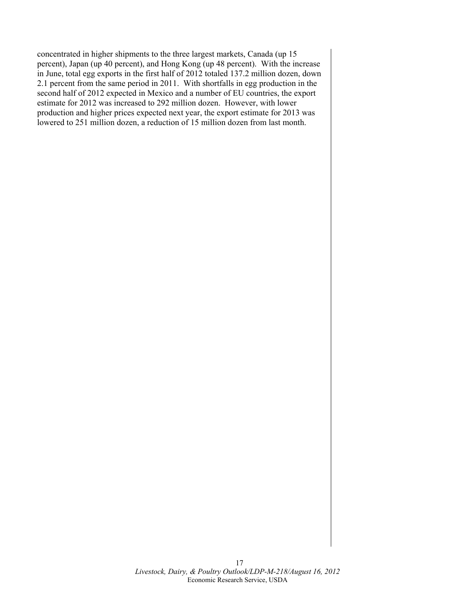concentrated in higher shipments to the three largest markets, Canada (up 15 percent), Japan (up 40 percent), and Hong Kong (up 48 percent). With the increase in June, total egg exports in the first half of 2012 totaled 137.2 million dozen, down 2.1 percent from the same period in 2011. With shortfalls in egg production in the second half of 2012 expected in Mexico and a number of EU countries, the export estimate for 2012 was increased to 292 million dozen. However, with lower production and higher prices expected next year, the export estimate for 2013 was lowered to 251 million dozen, a reduction of 15 million dozen from last month.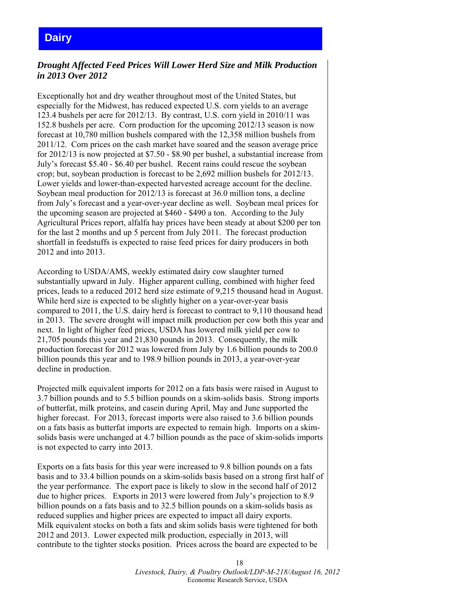# <span id="page-17-0"></span>**Dairy**

# *Drought Affected Feed Prices Will Lower Herd Size and Milk Production in 2013 Over 2012*

Exceptionally hot and dry weather throughout most of the United States, but especially for the Midwest, has reduced expected U.S. corn yields to an average 123.4 bushels per acre for 2012/13. By contrast, U.S. corn yield in 2010/11 was 152.8 bushels per acre. Corn production for the upcoming 2012/13 season is now forecast at 10,780 million bushels compared with the 12,358 million bushels from 2011/12. Corn prices on the cash market have soared and the season average price for 2012/13 is now projected at \$7.50 - \$8.90 per bushel, a substantial increase from July's forecast \$5.40 - \$6.40 per bushel. Recent rains could rescue the soybean crop; but, soybean production is forecast to be 2,692 million bushels for 2012/13. Lower yields and lower-than-expected harvested acreage account for the decline. Soybean meal production for 2012/13 is forecast at 36.0 million tons, a decline from July's forecast and a year-over-year decline as well. Soybean meal prices for the upcoming season are projected at \$460 - \$490 a ton. According to the July Agricultural Prices report, alfalfa hay prices have been steady at about \$200 per ton for the last 2 months and up 5 percent from July 2011. The forecast production shortfall in feedstuffs is expected to raise feed prices for dairy producers in both 2012 and into 2013.

According to USDA/AMS, weekly estimated dairy cow slaughter turned substantially upward in July. Higher apparent culling, combined with higher feed prices, leads to a reduced 2012 herd size estimate of 9,215 thousand head in August. While herd size is expected to be slightly higher on a year-over-year basis compared to 2011, the U.S. dairy herd is forecast to contract to 9,110 thousand head in 2013. The severe drought will impact milk production per cow both this year and next. In light of higher feed prices, USDA has lowered milk yield per cow to 21,705 pounds this year and 21,830 pounds in 2013. Consequently, the milk production forecast for 2012 was lowered from July by 1.6 billion pounds to 200.0 billion pounds this year and to 198.9 billion pounds in 2013, a year-over-year decline in production.

Projected milk equivalent imports for 2012 on a fats basis were raised in August to 3.7 billion pounds and to 5.5 billion pounds on a skim-solids basis. Strong imports of butterfat, milk proteins, and casein during April, May and June supported the higher forecast. For 2013, forecast imports were also raised to 3.6 billion pounds on a fats basis as butterfat imports are expected to remain high. Imports on a skimsolids basis were unchanged at 4.7 billion pounds as the pace of skim-solids imports is not expected to carry into 2013.

Exports on a fats basis for this year were increased to 9.8 billion pounds on a fats basis and to 33.4 billion pounds on a skim-solids basis based on a strong first half of the year performance. The export pace is likely to slow in the second half of 2012 due to higher prices. Exports in 2013 were lowered from July's projection to 8.9 billion pounds on a fats basis and to 32.5 billion pounds on a skim-solids basis as reduced supplies and higher prices are expected to impact all dairy exports. Milk equivalent stocks on both a fats and skim solids basis were tightened for both 2012 and 2013. Lower expected milk production, especially in 2013, will contribute to the tighter stocks position. Prices across the board are expected to be

> 18 *Livestock, Dairy, & Poultry Outlook/LDP-M-218/August 16, 2012*  Economic Research Service, USDA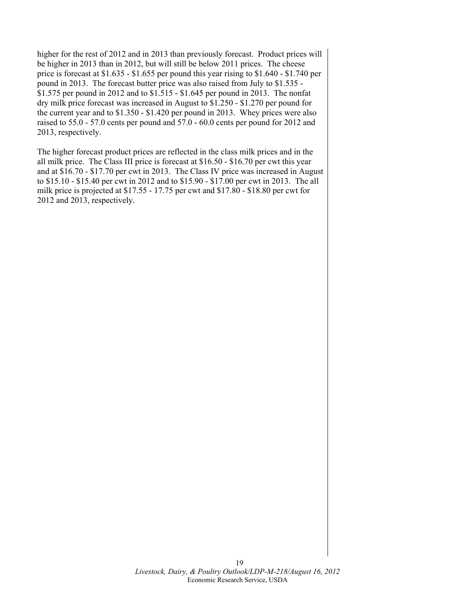higher for the rest of 2012 and in 2013 than previously forecast. Product prices will be higher in 2013 than in 2012, but will still be below 2011 prices. The cheese price is forecast at \$1.635 - \$1.655 per pound this year rising to \$1.640 - \$1.740 per pound in 2013. The forecast butter price was also raised from July to \$1.535 - \$1.575 per pound in 2012 and to \$1.515 - \$1.645 per pound in 2013. The nonfat dry milk price forecast was increased in August to \$1.250 - \$1.270 per pound for the current year and to \$1.350 - \$1.420 per pound in 2013. Whey prices were also raised to 55.0 - 57.0 cents per pound and 57.0 - 60.0 cents per pound for 2012 and 2013, respectively.

The higher forecast product prices are reflected in the class milk prices and in the all milk price. The Class III price is forecast at \$16.50 - \$16.70 per cwt this year and at \$16.70 - \$17.70 per cwt in 2013. The Class IV price was increased in August to \$15.10 - \$15.40 per cwt in 2012 and to \$15.90 - \$17.00 per cwt in 2013. The all milk price is projected at \$17.55 - 17.75 per cwt and \$17.80 - \$18.80 per cwt for 2012 and 2013, respectively.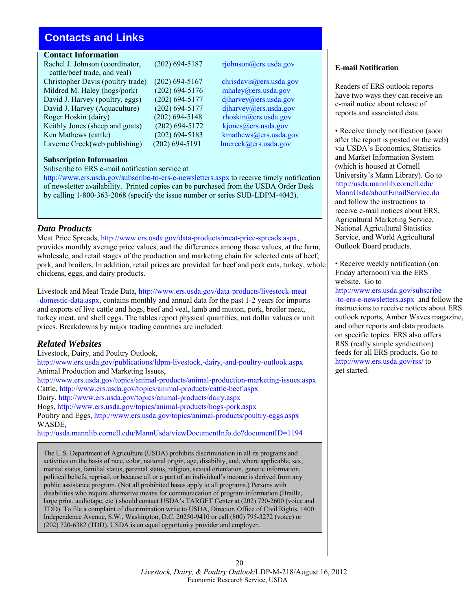# <span id="page-19-0"></span>**Contacts and Links**

# **Contact Information**

Rachel J. Johnson (coordinator, (202) 694-5187 rjohnson@ers.usda.gov cattle/beef trade, and veal) Christopher Davis (poultry trade) (202) 694-5167 [chrisdavis@ers.usda.gov](mailto:chrisdavis@ers.usda.gov) Mildred M. Haley (hogs/pork) (202) 694-5176 [mhaley@ers.usda.gov](mailto:mhaley@ers.usda.gov) David J. Harvey (poultry, eggs) (202) 694-5177 djharvey @ers.usda.gov David J. Harvey (Aquaculture) (202) 694-5177 [djharvey@ers.usda.gov](mailto: djharvey@ers.usda.gov) Roger Hoskin (dairy) (202) 694-5148 [rhoskin@ers.usda.gov](mailto:rhoskin@ers.usda.gov) Keithly Jones (sheep and goats) (202) 694-5172 kjones  $@ers. usda.gov$ Ken Mathews (cattle) (202) 694-5183 kmathews @ers.usda.gov Laverne Creek(web publishing) (202) 694-5191 [lmcreek@ers.usda.gov](mailto:lmcreek@ers.usda.gov)

**Subscription Information**  Subscribe to ERS e-mail notification service at

<http://www.ers.usda.gov/subscribe-to-ers-e-newsletters.aspx> to receive timely notification of newsletter availability. Printed copies can be purchased from the USDA Order Desk by calling 1-800-363-2068 (specify the issue number or series SUB-LDPM-4042).

### *Data Products*

Meat Price Spreads, <http://www.ers.usda.gov/data-products/meat-price-spreads.aspx>, provides monthly average price values, and the differences among those values, at the farm, wholesale, and retail stages of the production and marketing chain for selected cuts of beef, pork, and broilers. In addition, retail prices are provided for beef and pork cuts, turkey, whole chickens, eggs, and dairy products.

Livestock and Meat Trade Data, [http://www.ers.usda.gov/data-products/livestock-meat](http://www.ers.usda.gov/data-products/livestock-meat-domestic-data.aspx) [-domestic-data.aspx](http://www.ers.usda.gov/data-products/livestock-meat-domestic-data.aspx), contains monthly and annual data for the past 1-2 years for imports and exports of live cattle and hogs, beef and veal, lamb and mutton, pork, broiler meat, turkey meat, and shell eggs. The tables report physical quantities, not dollar values or unit prices. Breakdowns by major trading countries are included.

# *Related Websites*

Livestock, Dairy, and Poultry Outlook, <http://www.ers.usda.gov/publications/ldpm-livestock,-dairy,-and-poultry-outlook.aspx> Animal Production and Marketing Issues, <http://www.ers.usda.gov/topics/animal-products/animal-production-marketing-issues.aspx> Cattle, <http://www.ers.usda.gov/topics/animal-products/cattle-beef.aspx> Dairy, <http://www.ers.usda.gov/topics/animal-products/dairy.aspx> Hogs, <http://www.ers.usda.gov/topics/animal-products/hogs-pork.aspx> Poultry and Eggs, <http://www.ers.usda.gov/topics/animal-products/poultry-eggs.aspx> WASDE,

<http://usda.mannlib.cornell.edu/MannUsda/viewDocumentInfo.do?documentID=1194>

The U.S. Department of Agriculture (USDA) prohibits discrimination in all its programs and activities on the basis of race, color, national origin, age, disability, and, where applicable, sex, marital status, familial status, parental status, religion, sexual orientation, genetic information, political beliefs, reprisal, or because all or a part of an individual's income is derived from any public assistance program. (Not all prohibited bases apply to all programs.) Persons with disabilities who require alternative means for communication of program information (Braille, large print, audiotape, etc.) should contact USDA's TARGET Center at (202) 720-2600 (voice and TDD). To file a complaint of discrimination write to USDA, Director, Office of Civil Rights, 1400 Independence Avenue, S.W., Washington, D.C. 20250-9410 or call (800) 795-3272 (voice) or (202) 720-6382 (TDD). USDA is an equal opportunity provider and employer.

### **E-mail Notification**

Readers of ERS outlook reports have two ways they can receive an e-mail notice about release of reports and associated data.

• Receive timely notification (soon after the report is posted on the web) via USDA's Economics, Statistics and Market Information System (which is housed at Cornell University's Mann Library). Go to http://usda.mannlib.cornell.edu/ [MannUsda/aboutEmailService.do](http://usda.mannlib.cornell.edu/ MannUsda/aboutEmailService.do)  and follow the instructions to receive e-mail notices about ERS, Agricultural Marketing Service, National Agricultural Statistics Service, and World Agricultural Outlook Board products.

• Receive weekly notification (on Friday afternoon) via the ERS website. Go to

[http://www.ers.usda.gov/subscribe](http://www.ers.usda.gov/subscribe-to-ers-e-newsletters.aspx) -to-ers-e-newsletters.aspx and follow the instructions to receive notices about ERS outlook reports, Amber Waves magazine, and other reports and data products on specific topics. ERS also offers RSS (really simple syndication) feeds for all ERS products. Go to <http://www.ers.usda.gov/rss/>to get started.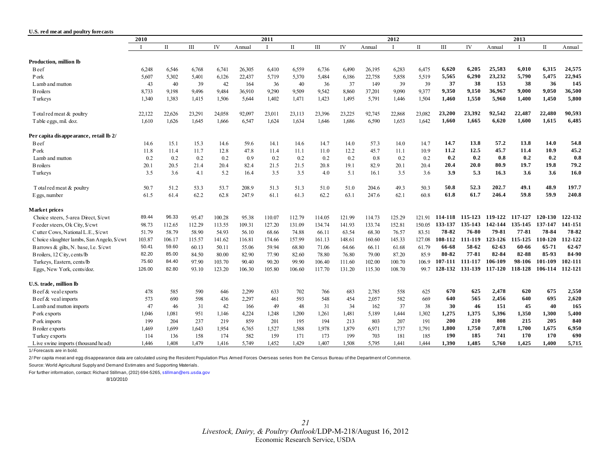<span id="page-20-0"></span>

| U.S. red meat and poultry forecasts        |        |             |        |        |        |              |              |        |        |        |        |        |         |         |         |         |              |           |
|--------------------------------------------|--------|-------------|--------|--------|--------|--------------|--------------|--------|--------|--------|--------|--------|---------|---------|---------|---------|--------------|-----------|
|                                            | 2010   |             |        |        |        | 2011         |              |        |        |        | 2012   |        |         |         |         | 2013    |              |           |
|                                            |        | $_{\rm II}$ | Ш      | IV     | Annual | $\mathbf{I}$ | $\mathbf{I}$ | Ш      | IV     | Annual |        | П      | Ш       | IV      | Annual  |         | $\mathbf{I}$ | Annual    |
| Production, million lb                     |        |             |        |        |        |              |              |        |        |        |        |        |         |         |         |         |              |           |
| B eef                                      | 6,248  | 6,546       | 6,768  | 6,741  | 26,305 | 6,410        | 6,559        | 6,736  | 6,490  | 26,195 | 6,283  | 6,475  | 6,620   | 6,205   | 25,583  | 6,010   | 6,315        | 24,575    |
| P ork                                      | 5,607  | 5,302       | 5,401  | 6,126  | 22,437 | 5,719        | 5,370        | 5,484  | 6,186  | 22,758 | 5,858  | 5,519  | 5,565   | 6,290   | 23,232  | 5,790   | 5,475        | 22,945    |
| L amb and mutton                           | 43     | 40          | 39     | 42     | 164    | 36           | 40           | 36     | 37     | 149    | 39     | 39     | 37      | 38      | 153     | 38      | 36           | 145       |
| <b>B</b> roilers                           | 8,733  | 9,198       | 9,496  | 9,484  | 36,910 | 9,290        | 9,509        | 9,542  | 8,860  | 37,201 | 9,090  | 9,377  | 9,350   | 9,150   | 36,967  | 9,000   | 9,050        | 36,500    |
| T urkeys                                   | 1,340  | 1,383       | 1,415  | 1,506  | 5,644  | 1,402        | 1,471        | 1,423  | 1,495  | 5,791  | 1,446  | 1,504  | 1,460   | 1,550   | 5,960   | 1,400   | 1,450        | 5,800     |
| T otal red meat & poultry                  | 22,122 | 22,626      | 23,291 | 24,058 | 92,097 | 23,011       | 23,113       | 23,396 | 23,225 | 92,745 | 22,868 | 23,082 | 23,200  | 23,392  | 92,542  | 22,487  | 22,480       | 90,593    |
| T able eggs, mil. doz.                     | 1.610  | 1,626       | 1,645  | 1.666  | 6,547  | 1,624        | 1,634        | 1,646  | 1.686  | 6,590  | 1,653  | 1,642  | 1,660   | 1,665   | 6,620   | 1,600   | 1,615        | 6,485     |
| Per capita disappearance, retail lb 2/     |        |             |        |        |        |              |              |        |        |        |        |        |         |         |         |         |              |           |
| B eef                                      | 14.6   | 15.1        | 15.3   | 14.6   | 59.6   | 14.1         | 14.6         | 14.7   | 14.0   | 57.3   | 14.0   | 14.7   | 14.7    | 13.8    | 57.2    | 13.8    | 14.0         | 54.8      |
| P ork                                      | 11.8   | 11.4        | 11.7   | 12.8   | 47.8   | 11.4         | 11.1         | 11.0   | 12.2   | 45.7   | 11.1   | 10.9   | 11.2    | 12.5    | 45.7    | 11.4    | 10.9         | 45.2      |
| Lamb and mutton                            | 0.2    | 0.2         | 0.2    | 0.2    | 0.9    | 0.2          | 0.2          | 0.2    | 0.2    | 0.8    | 0.2    | 0.2    | 0.2     | 0.2     | 0.8     | 0.2     | 0.2          | 0.8       |
| <b>B</b> roilers                           | 20.1   | 20.5        | 21.4   | 20.4   | 82.4   | 21.5         | 21.5         | 20.8   | 19.1   | 82.9   | 20.1   | 20.4   | 20.4    | 20.0    | 80.9    | 19.7    | 19.8         | 79.2      |
| T urkeys                                   | 3.5    | 3.6         | 4.1    | 5.2    | 16.4   | 3.5          | 3.5          | 4.0    | 5.1    | 16.1   | 3.5    | 3.6    | 3.9     | 5.3     | 16.3    | 3.6     | 3.6          | 16.0      |
| T otal red meat & poultry                  | 50.7   | 51.2        | 53.3   | 53.7   | 208.9  | 51.3         | 51.3         | 51.0   | 51.0   | 204.6  | 49.3   | 50.3   | 50.8    | 52.3    | 202.7   | 49.1    | 48.9         | 197.7     |
| E ggs, number                              | 61.5   | 61.4        | 62.2   | 62.8   | 247.9  | 61.1         | 61.3         | 62.2   | 63.1   | 247.6  | 62.1   | 60.8   | 61.8    | 61.7    | 246.4   | 59.8    | 59.9         | 240.8     |
| <b>Market prices</b>                       |        |             |        |        |        |              |              |        |        |        |        |        |         |         |         |         |              |           |
| Choice steers, 5-area Direct, \$/cwt       | 89.44  | 96.33       | 95.47  | 100.28 | 95.38  | 110.07       | 112.79       | 114.05 | 121.99 | 114.73 | 125.29 | 121.91 | 114-118 | 115-123 | 119-122 | 117-127 | 120-130      | 122-132   |
| Feeder steers, Ok City, \$/cwt             | 98.73  | 112.65      | 112.29 | 113.55 | 109.31 | 127.20       | 131.09       | 134.74 | 141.93 | 133.74 | 152.81 | 150.05 | 133-137 | 135-143 | 142-144 | 135-145 | 137-147      | 141-151   |
| Cutter Cows, National L.E., \$/cwt         | 51.79  | 58.79       | 58.90  | 54.93  | 56.10  | 68.66        | 74.88        | 66.11  | 63.54  | 68.30  | 76.57  | 83.51  | 78-82   | 76-80   | 79-81   | 77-81   | 78-84        | 78-82     |
| Choice slaughter lambs, San Angelo, \$/cwt | 103.87 | 106.17      | 115.57 | 141.62 | 116.81 | 174.66       | 157.99       | 161.13 | 148.61 | 160.60 | 145.33 | 127.08 | 108-112 | 111-119 | 123-126 | 115-125 | 110-120      | 112-122   |
| B arrows & gilts, N. base, I.e. \$/cwt     | 50.41  | 59.60       | 60.13  | 50.11  | 55.06  | 59.94        | 68.80        | 71.06  | 64.66  | 66.11  | 61.68  | 61.79  | 66-68   | 58-62   | 62-63   | 60-66   | 65-71        | $62 - 67$ |
| B roilers, 12 C ity, cents/lb              | 82.20  | 85.00       | 84.50  | 80.00  | 82.90  | 77.90        | 82.60        | 78.80  | 76.80  | 79.00  | 87.20  | 85.9   | 80-82   | 77-81   | 82-84   | 82-88   | 85-93        | 84-90     |
| Turkeys, Eastern, cents/lb                 | 75.60  | 84.40       | 97.90  | 103.70 | 90.40  | 90.20        | 99.90        | 106.40 | 111.60 | 102.00 | 100.70 | 106.9  | 107-111 | 111-117 | 106-109 | 98-106  | 101-109      | 102-111   |
| Eggs, New York, cents/doz.                 | 126.00 | 82.80       | 93.10  | 123.20 | 106.30 | 105.80       | 106.60       | 117.70 | 131.20 | 115.30 | 108.70 | 99.7   | 128-132 | 131-139 | 117-120 | 118-128 | 106-114      | 112-121   |
| U.S. trade, million lb                     |        |             |        |        |        |              |              |        |        |        |        |        |         |         |         |         |              |           |
| Beef & veal exports                        | 478    | 585         | 590    | 646    | 2,299  | 633          | 702          | 766    | 683    | 2,785  | 558    | 625    | 670     | 625     | 2,478   | 620     | 675          | 2,550     |
| Beef & veal imports                        | 573    | 690         | 598    | 436    | 2,297  | 461          | 593          | 548    | 454    | 2,057  | 582    | 669    | 640     | 565     | 2,456   | 640     | 695          | 2,620     |
| L amb and mutton imports                   | 47     | 46          | 31     | 42     | 166    | 49           | 48           | 31     | 34     | 162    | 37     | 38     | 30      | 46      | 151     | 45      | 40           | 165       |
| P ork exports                              | 1,046  | 1,081       | 951    | 1,146  | 4,224  | 1,248        | 1,200        | 1,261  | 1,481  | 5,189  | 1,444  | 1,302  | 1,275   | 1,375   | 5,396   | 1,350   | 1,300        | 5,400     |
| P ork imports                              | 199    | 204         | 237    | 219    | 859    | 201          | 195          | 194    | 213    | 803    | 207    | 191    | 200     | 210     | 808     | 215     | 205          | 840       |
| B roiler exports                           | 1,469  | 1,699       | 1,643  | 1.954  | 6,765  | 1,527        | 1,588        | 1,978  | 1,879  | 6.971  | 1,737  | 1,791  | 1,800   | 1,750   | 7,078   | 1,700   | 1,675        | 6,950     |
| T urkey exports                            | 114    | 136         | 158    | 174    | 582    | 159          | 171          | 173    | 199    | 703    | 181    | 185    | 190     | 185     | 741     | 170     | 170          | 690       |
| L ive swine imports (thousand head)        | 1.446  | 1.408       | 1,479  | 1.416  | 5.749  | 1.452        | 1.429        | 1.407  | 1.508  | 5.795  | 1.441  | 1.444  | 1.390   | 1.485   | 5.760   | 1.425   | 1.400        | 5,715     |

1/ Forecasts are in bold.

2/ Per capita meat and egg disappearance data are calculated using the Resident Population Plus Armed Forces Overseas series from the Census Bureau of the Department of Commerce.

Source: World Agricultural Supply and Demand Estimates and Supporting Materials.

For further information, contact: Richard Stillman, (202) 694-5265, stillman@ers.usda.gov

8/10/2010